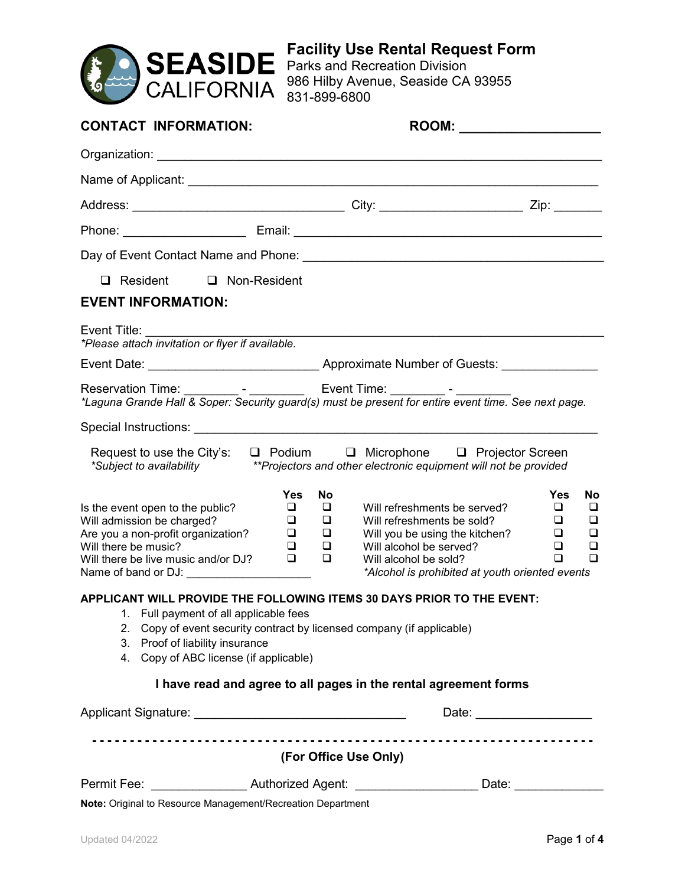

**Facility Use Rental Request Form** Parks and Recreation Division

986 Hilby Avenue, Seaside CA 93955 831-899-6800

| <b>CONTACT INFORMATION:</b>                                                                                                                                                                                                                                                   |                                                                                     |                                                                                                                                                                                                     |                                                                                      |  |
|-------------------------------------------------------------------------------------------------------------------------------------------------------------------------------------------------------------------------------------------------------------------------------|-------------------------------------------------------------------------------------|-----------------------------------------------------------------------------------------------------------------------------------------------------------------------------------------------------|--------------------------------------------------------------------------------------|--|
|                                                                                                                                                                                                                                                                               |                                                                                     |                                                                                                                                                                                                     |                                                                                      |  |
|                                                                                                                                                                                                                                                                               |                                                                                     |                                                                                                                                                                                                     |                                                                                      |  |
|                                                                                                                                                                                                                                                                               |                                                                                     |                                                                                                                                                                                                     |                                                                                      |  |
|                                                                                                                                                                                                                                                                               |                                                                                     |                                                                                                                                                                                                     |                                                                                      |  |
|                                                                                                                                                                                                                                                                               |                                                                                     |                                                                                                                                                                                                     |                                                                                      |  |
| Resident<br>$\Box$ Non-Resident<br>□                                                                                                                                                                                                                                          |                                                                                     |                                                                                                                                                                                                     |                                                                                      |  |
| <b>EVENT INFORMATION:</b>                                                                                                                                                                                                                                                     |                                                                                     |                                                                                                                                                                                                     |                                                                                      |  |
| Event Title:<br>*Please attach invitation or flyer if available.                                                                                                                                                                                                              |                                                                                     |                                                                                                                                                                                                     |                                                                                      |  |
|                                                                                                                                                                                                                                                                               |                                                                                     |                                                                                                                                                                                                     |                                                                                      |  |
|                                                                                                                                                                                                                                                                               |                                                                                     |                                                                                                                                                                                                     |                                                                                      |  |
| Special Instructions: Analysis of the Contract of the Contract of the Contract of the Contract of the Contract of the Contract of the Contract of the Contract of the Contract of the Contract of the Contract of the Contract                                                |                                                                                     |                                                                                                                                                                                                     |                                                                                      |  |
| Request to use the City's:<br>*Subject to availability                                                                                                                                                                                                                        |                                                                                     | D Podium D Microphone D Projector Screen<br>**Projectors and other electronic equipment will not be provided                                                                                        |                                                                                      |  |
| Is the event open to the public?<br>Will admission be charged?<br>Are you a non-profit organization?<br>Will there be music?<br>Will there be live music and/or DJ?<br>Name of band or DJ:                                                                                    | <b>Yes</b><br><b>No</b><br>⊔<br>⊔<br>❏<br>□<br>❏<br>⊔<br>◻<br>⊔<br>$\Box$<br>$\Box$ | Will refreshments be served?<br>Will refreshments be sold?<br>Will you be using the kitchen?<br>Will alcohol be served?<br>Will alcohol be sold?<br>*Alcohol is prohibited at youth oriented events | <b>Yes</b><br><b>No</b><br>⊔<br>⊔<br>O.<br>⊔<br>❏<br>⊔<br>◻<br>◻<br>$\Box$<br>$\Box$ |  |
| APPLICANT WILL PROVIDE THE FOLLOWING ITEMS 30 DAYS PRIOR TO THE EVENT:<br>1. Full payment of all applicable fees<br>Copy of event security contract by licensed company (if applicable)<br>2.<br>Proof of liability insurance<br>3.<br>4. Copy of ABC license (if applicable) |                                                                                     |                                                                                                                                                                                                     |                                                                                      |  |
|                                                                                                                                                                                                                                                                               |                                                                                     | I have read and agree to all pages in the rental agreement forms                                                                                                                                    |                                                                                      |  |
|                                                                                                                                                                                                                                                                               |                                                                                     |                                                                                                                                                                                                     |                                                                                      |  |
|                                                                                                                                                                                                                                                                               | (For Office Use Only)                                                               |                                                                                                                                                                                                     |                                                                                      |  |
| Permit Fee: ____________________Authorized Agent: _________________________Date: __________________                                                                                                                                                                           |                                                                                     |                                                                                                                                                                                                     |                                                                                      |  |
| Note: Original to Resource Management/Recreation Department                                                                                                                                                                                                                   |                                                                                     |                                                                                                                                                                                                     |                                                                                      |  |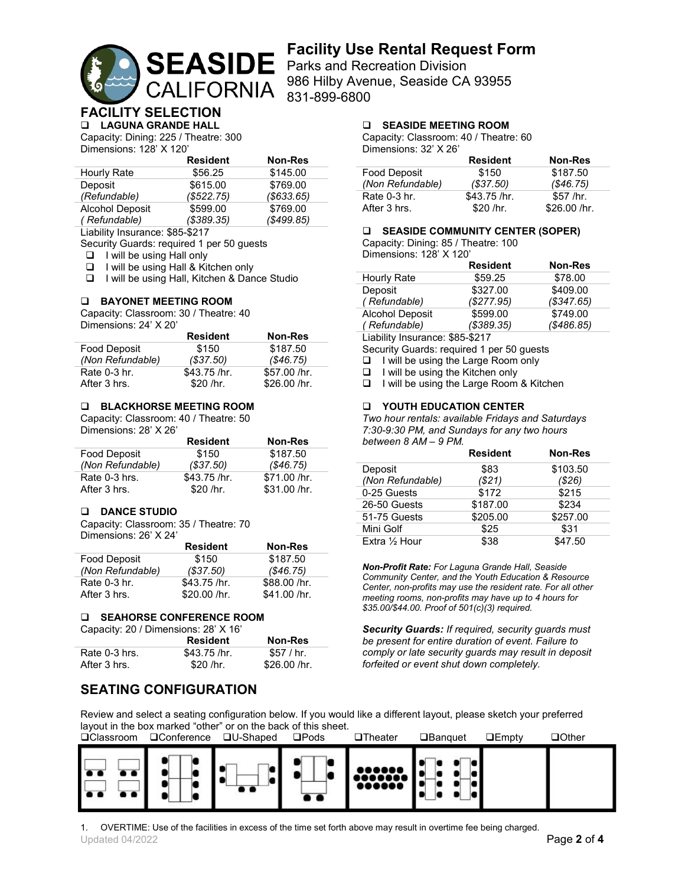

# **Facility Use Rental Request Form**

986 Hilby Avenue, Seaside CA 93955

#### **FACILITY SELECTION LAGUNA GRANDE HALL**

Capacity: Dining: 225 / Theatre: 300 Dimensions: 128' X 120'

|                        | <b>Resident</b> | <b>Non-Res</b> |
|------------------------|-----------------|----------------|
| Hourly Rate            | \$56.25         | \$145.00       |
| Deposit                | \$615.00        | \$769.00       |
| (Refundable)           | (\$522.75)      | (\$633.65)     |
| <b>Alcohol Deposit</b> | \$599.00        | \$769.00       |
| (Refundable)           | ( \$389.35)     | (\$499.85)     |
|                        |                 |                |

Liability Insurance: \$85-\$217

Security Guards: required 1 per 50 guests

 $\Box$  I will be using Hall only

□ I will be using Hall & Kitchen only

I will be using Hall, Kitchen & Dance Studio

### **BAYONET MEETING ROOM**

Capacity: Classroom: 30 / Theatre: 40 Dimensions: 24' X 20'

|                  | <b>Resident</b> | <b>Non-Res</b> |
|------------------|-----------------|----------------|
| Food Deposit     | \$150           | \$187.50       |
| (Non Refundable) | (S37.50)        | (S46.75)       |
| Rate 0-3 hr.     | $$43.75$ /hr.   | \$57.00 /hr.   |
| After 3 hrs.     | \$20 /hr.       | \$26.00 /hr.   |

### **BLACKHORSE MEETING ROOM**

Capacity: Classroom: 40 / Theatre: 50

Dimensions: 28' X 26'

|                  | <b>Resident</b> | <b>Non-Res</b> |
|------------------|-----------------|----------------|
| Food Deposit     | \$150           | \$187.50       |
| (Non Refundable) | (S37.50)        | (S46.75)       |
| Rate 0-3 hrs.    | $$43.75$ /hr.   | \$71.00 /hr.   |
| After 3 hrs.     | \$20 / hr.      | \$31.00 /hr.   |

### **DANCE STUDIO**

Capacity: Classroom: 35 / Theatre: 70 Dimensions: 26' X 24'

|                  | <b>Resident</b> | Non-Res       |
|------------------|-----------------|---------------|
| Food Deposit     | \$150           | \$187.50      |
| (Non Refundable) | (\$37.50)       | (\$46.75)     |
| Rate 0-3 hr.     | $$43.75$ /hr.   | \$88.00 /hr.  |
| After 3 hrs.     | \$20.00 / hr.   | $$41.00$ /hr. |

#### **SEAHORSE CONFERENCE ROOM**

Capacity: 20 / Dimensions: 28' X 16'

|               | <b>Resident</b> | Non-Res       |
|---------------|-----------------|---------------|
| Rate 0-3 hrs. | $$43.75$ /hr.   | \$57 / hr.    |
| After 3 hrs.  | \$20 / hr.      | \$26.00 / hr. |

# **SEATING CONFIGURATION**

Review and select a seating configuration below. If you would like a different layout, please sketch your preferred layout in the box marked "other" or on the back of this sheet.<br>□Classroom □Conference □U-Shaped □Pods



Updated 04/2022 Page **2** of **4** 1. OVERTIME: Use of the facilities in excess of the time set forth above may result in overtime fee being charged.

### **SEASIDE MEETING ROOM**

Capacity: Classroom: 40 / Theatre: 60 Dimensions: 32' X 26'

|                     | <b>Resident</b> | Non-Res       |
|---------------------|-----------------|---------------|
| <b>Food Deposit</b> | \$150           | \$187.50      |
| (Non Refundable)    | (S37.50)        | (S46.75)      |
| Rate 0-3 hr.        | $$43.75$ /hr.   | $$57$ /hr.    |
| After 3 hrs.        | \$20 / hr.      | \$26.00 / hr. |

#### **SEASIDE COMMUNITY CENTER (SOPER)**

Capacity: Dining: 85 / Theatre: 100 Dimensions: 128' X 120'

|                        | <b>Resident</b> | <b>Non-Res</b> |
|------------------------|-----------------|----------------|
| Hourly Rate            | \$59.25         | \$78.00        |
| Deposit                | \$327.00        | \$409.00       |
| (Refundable)           | (\$277.95)      | (\$347.65)     |
| <b>Alcohol Deposit</b> | \$599.00        | \$749.00       |
| (Refundable)           | (\$389.35)      | (\$486.85)     |

Liability Insurance: \$85-\$217

Security Guards: required 1 per 50 guests

 $\Box$  I will be using the Large Room only

 $\Box$  I will be using the Kitchen only

□ I will be using the Large Room & Kitchen

### **YOUTH EDUCATION CENTER**

*Two hour rentals: available Fridays and Saturdays 7:30-9:30 PM, and Sundays for any two hours between 8 AM – 9 PM.*

|                  | <b>Resident</b> | <b>Non-Res</b> |
|------------------|-----------------|----------------|
| Deposit          | \$83            | \$103.50       |
| (Non Refundable) | ( \$21)         | (\$26)         |
| 0-25 Guests      | \$172           | \$215          |
| 26-50 Guests     | \$187.00        | \$234          |
| 51-75 Guests     | \$205.00        | \$257.00       |
| Mini Golf        | \$25            | \$31           |
| Extra 1/2 Hour   | \$38            | \$47.50        |

*Non-Profit Rate: For Laguna Grande Hall, Seaside Community Center, and the Youth Education & Resource Center, non-profits may use the resident rate. For all other meeting rooms, non-profits may have up to 4 hours for \$35.00/\$44.00. Proof of 501(c)(3) required.* 

*Security Guards: If required, security guards must be present for entire duration of event. Failure to comply or late security guards may result in deposit forfeited or event shut down completely.*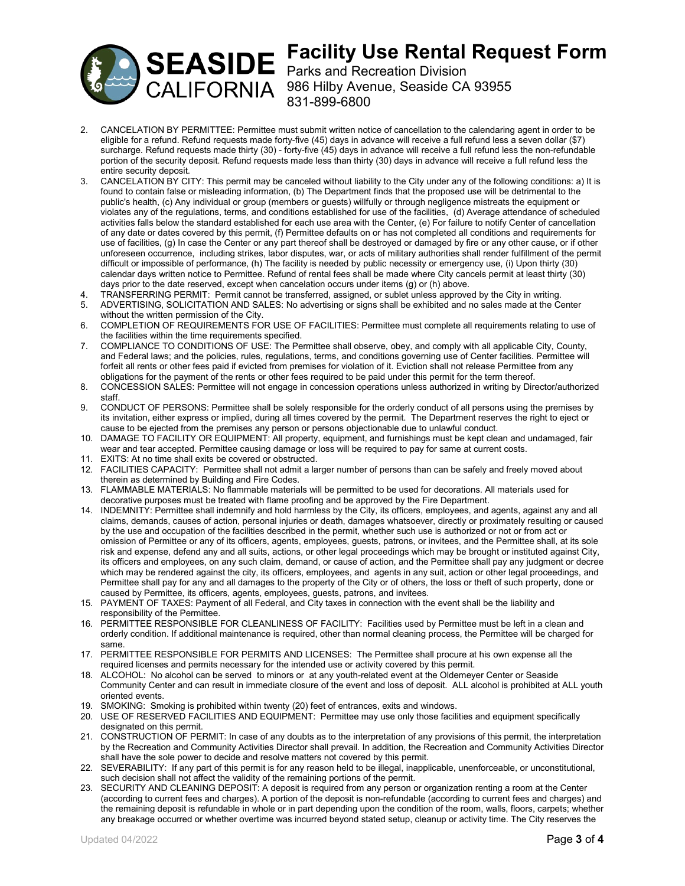

# **Facility Use Rental Request Form** Parks and Recreation Division

CALIFORNIA 986 Hilby Avenue, Seaside CA 93955 831-899-6800

- 2. CANCELATION BY PERMITTEE: Permittee must submit written notice of cancellation to the calendaring agent in order to be eligible for a refund. Refund requests made forty-five (45) days in advance will receive a full refund less a seven dollar (\$7) surcharge. Refund requests made thirty (30) - forty-five (45) days in advance will receive a full refund less the non-refundable portion of the security deposit. Refund requests made less than thirty (30) days in advance will receive a full refund less the entire security deposit.
- 3. CANCELATION BY CITY: This permit may be canceled without liability to the City under any of the following conditions: a) It is found to contain false or misleading information, (b) The Department finds that the proposed use will be detrimental to the public's health, (c) Any individual or group (members or guests) willfully or through negligence mistreats the equipment or violates any of the regulations, terms, and conditions established for use of the facilities, (d) Average attendance of scheduled activities falls below the standard established for each use area with the Center, (e) For failure to notify Center of cancellation of any date or dates covered by this permit, (f) Permittee defaults on or has not completed all conditions and requirements for use of facilities, (g) In case the Center or any part thereof shall be destroyed or damaged by fire or any other cause, or if other unforeseen occurrence, including strikes, labor disputes, war, or acts of military authorities shall render fulfillment of the permit difficult or impossible of performance, (h) The facility is needed by public necessity or emergency use, (i) Upon thirty (30) calendar days written notice to Permittee. Refund of rental fees shall be made where City cancels permit at least thirty (30) days prior to the date reserved, except when cancelation occurs under items (g) or (h) above.
- 4. TRANSFERRING PERMIT: Permit cannot be transferred, assigned, or sublet unless approved by the City in writing.
- 5. ADVERTISING, SOLICITATION AND SALES: No advertising or signs shall be exhibited and no sales made at the Center without the written permission of the City.
- 6. COMPLETION OF REQUIREMENTS FOR USE OF FACILITIES: Permittee must complete all requirements relating to use of the facilities within the time requirements specified.
- 7. COMPLIANCE TO CONDITIONS OF USE: The Permittee shall observe, obey, and comply with all applicable City, County, and Federal laws; and the policies, rules, regulations, terms, and conditions governing use of Center facilities. Permittee will forfeit all rents or other fees paid if evicted from premises for violation of it. Eviction shall not release Permittee from any obligations for the payment of the rents or other fees required to be paid under this permit for the term thereof.
- 8. CONCESSION SALES: Permittee will not engage in concession operations unless authorized in writing by Director/authorized staff.
- 9. CONDUCT OF PERSONS: Permittee shall be solely responsible for the orderly conduct of all persons using the premises by its invitation, either express or implied, during all times covered by the permit. The Department reserves the right to eject or cause to be ejected from the premises any person or persons objectionable due to unlawful conduct.
- 10. DAMAGE TO FACILITY OR EQUIPMENT: All property, equipment, and furnishings must be kept clean and undamaged, fair wear and tear accepted. Permittee causing damage or loss will be required to pay for same at current costs.
- 11. EXITS: At no time shall exits be covered or obstructed.
- 12. FACILITIES CAPACITY: Permittee shall not admit a larger number of persons than can be safely and freely moved about therein as determined by Building and Fire Codes.
- 13. FLAMMABLE MATERIALS: No flammable materials will be permitted to be used for decorations. All materials used for decorative purposes must be treated with flame proofing and be approved by the Fire Department.
- 14. INDEMNITY: Permittee shall indemnify and hold harmless by the City, its officers, employees, and agents, against any and all claims, demands, causes of action, personal injuries or death, damages whatsoever, directly or proximately resulting or caused by the use and occupation of the facilities described in the permit, whether such use is authorized or not or from act or omission of Permittee or any of its officers, agents, employees, guests, patrons, or invitees, and the Permittee shall, at its sole risk and expense, defend any and all suits, actions, or other legal proceedings which may be brought or instituted against City, its officers and employees, on any such claim, demand, or cause of action, and the Permittee shall pay any judgment or decree which may be rendered against the city, its officers, employees, and agents in any suit, action or other legal proceedings, and Permittee shall pay for any and all damages to the property of the City or of others, the loss or theft of such property, done or caused by Permittee, its officers, agents, employees, guests, patrons, and invitees.
- 15. PAYMENT OF TAXES: Payment of all Federal, and City taxes in connection with the event shall be the liability and responsibility of the Permittee.
- 16. PERMITTEE RESPONSIBLE FOR CLEANLINESS OF FACILITY: Facilities used by Permittee must be left in a clean and orderly condition. If additional maintenance is required, other than normal cleaning process, the Permittee will be charged for same.
- 17. PERMITTEE RESPONSIBLE FOR PERMITS AND LICENSES: The Permittee shall procure at his own expense all the required licenses and permits necessary for the intended use or activity covered by this permit.
- 18. ALCOHOL: No alcohol can be served to minors or at any youth-related event at the Oldemeyer Center or Seaside Community Center and can result in immediate closure of the event and loss of deposit. ALL alcohol is prohibited at ALL youth oriented events.
- 19. SMOKING: Smoking is prohibited within twenty (20) feet of entrances, exits and windows.
- 20. USE OF RESERVED FACILITIES AND EQUIPMENT: Permittee may use only those facilities and equipment specifically designated on this permit.
- 21. CONSTRUCTION OF PERMIT: In case of any doubts as to the interpretation of any provisions of this permit, the interpretation by the Recreation and Community Activities Director shall prevail. In addition, the Recreation and Community Activities Director shall have the sole power to decide and resolve matters not covered by this permit.
- 22. SEVERABILITY: If any part of this permit is for any reason held to be illegal, inapplicable, unenforceable, or unconstitutional, such decision shall not affect the validity of the remaining portions of the permit.
- 23. SECURITY AND CLEANING DEPOSIT: A deposit is required from any person or organization renting a room at the Center (according to current fees and charges). A portion of the deposit is non-refundable (according to current fees and charges) and the remaining deposit is refundable in whole or in part depending upon the condition of the room, walls, floors, carpets; whether any breakage occurred or whether overtime was incurred beyond stated setup, cleanup or activity time. The City reserves the